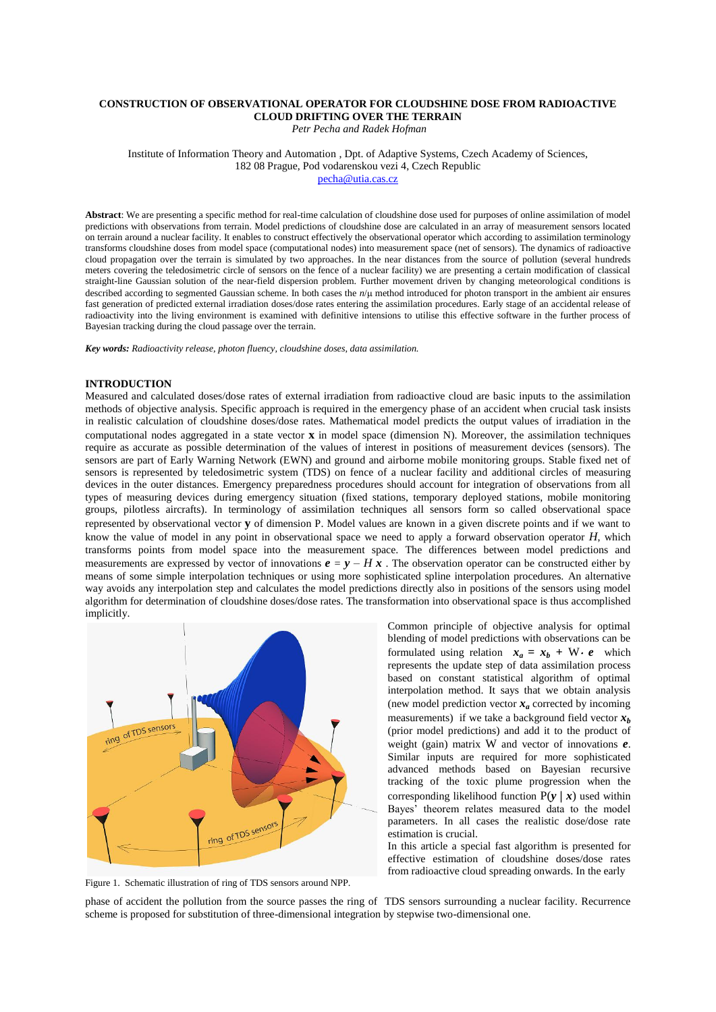# **CONSTRUCTION OF OBSERVATIONAL OPERATOR FOR CLOUDSHINE DOSE FROM RADIOACTIVE CLOUD DRIFTING OVER THE TERRAIN**

*Petr Pecha and Radek Hofman* 

Institute of Information Theory and Automation , Dpt. of Adaptive Systems, Czech Academy of Sciences, 182 08 Prague, Pod vodarenskou vezi 4, Czech Republic <pecha@utia.cas.cz>

**Abstract**: We are presenting a specific method for real-time calculation of cloudshine dose used for purposes of online assimilation of model predictions with observations from terrain. Model predictions of cloudshine dose are calculated in an array of measurement sensors located on terrain around a nuclear facility. It enables to construct effectively the observational operator which according to assimilation terminology transforms cloudshine doses from model space (computational nodes) into measurement space (net of sensors). The dynamics of radioactive cloud propagation over the terrain is simulated by two approaches. In the near distances from the source of pollution (several hundreds meters covering the teledosimetric circle of sensors on the fence of a nuclear facility) we are presenting a certain modification of classical straight-line Gaussian solution of the near-field dispersion problem. Further movement driven by changing meteorological conditions is described according to segmented Gaussian scheme. In both cases the  $n/\mu$  method introduced for photon transport in the ambient air ensures fast generation of predicted external irradiation doses/dose rates entering the assimilation procedures. Early stage of an accidental release of radioactivity into the living environment is examined with definitive intensions to utilise this effective software in the further process of Bayesian tracking during the cloud passage over the terrain.

*Key words: Radioactivity release, photon fluency, cloudshine doses, data assimilation.* 

#### **INTRODUCTION**

Measured and calculated doses/dose rates of external irradiation from radioactive cloud are basic inputs to the assimilation methods of objective analysis. Specific approach is required in the emergency phase of an accident when crucial task insists in realistic calculation of cloudshine doses/dose rates. Mathematical model predicts the output values of irradiation in the computational nodes aggregated in a state vector **x** in model space (dimension N). Moreover, the assimilation techniques require as accurate as possible determination of the values of interest in positions of measurement devices (sensors). The sensors are part of Early Warning Network (EWN) and ground and airborne mobile monitoring groups. Stable fixed net of sensors is represented by teledosimetric system (TDS) on fence of a nuclear facility and additional circles of measuring devices in the outer distances. Emergency preparedness procedures should account for integration of observations from all types of measuring devices during emergency situation (fixed stations, temporary deployed stations, mobile monitoring groups, pilotless aircrafts). In terminology of assimilation techniques all sensors form so called observational space represented by observational vector **y** of dimension P. Model values are known in a given discrete points and if we want to know the value of model in any point in observational space we need to apply a forward observation operator *H*, which transforms points from model space into the measurement space. The differences between model predictions and measurements are expressed by vector of innovations  $e = v - H x$ . The observation operator can be constructed either by means of some simple interpolation techniques or using more sophisticated spline interpolation procedures. An alternative way avoids any interpolation step and calculates the model predictions directly also in positions of the sensors using model algorithm for determination of cloudshine doses/dose rates. The transformation into observational space is thus accomplished implicitly.



Figure 1. Schematic illustration of ring of TDS sensors around NPP.

Common principle of objective analysis for optimal blending of model predictions with observations can be formulated using relation  $x_a = x_b + W \cdot e$  which represents the update step of data assimilation process based on constant statistical algorithm of optimal interpolation method. It says that we obtain analysis (new model prediction vector  $x_a$  corrected by incoming measurements) if we take a background field vector  $x_b$ (prior model predictions) and add it to the product of weight (gain) matrix W and vector of innovations *e*. Similar inputs are required for more sophisticated advanced methods based on Bayesian recursive tracking of the toxic plume progression when the corresponding likelihood function  $P(y | x)$  used within Bayes' theorem relates measured data to the model parameters. In all cases the realistic dose/dose rate estimation is crucial.

In this article a special fast algorithm is presented for effective estimation of cloudshine doses/dose rates from radioactive cloud spreading onwards. In the early

phase of accident the pollution from the source passes the ring of TDS sensors surrounding a nuclear facility. Recurrence scheme is proposed for substitution of three-dimensional integration by stepwise two-dimensional one.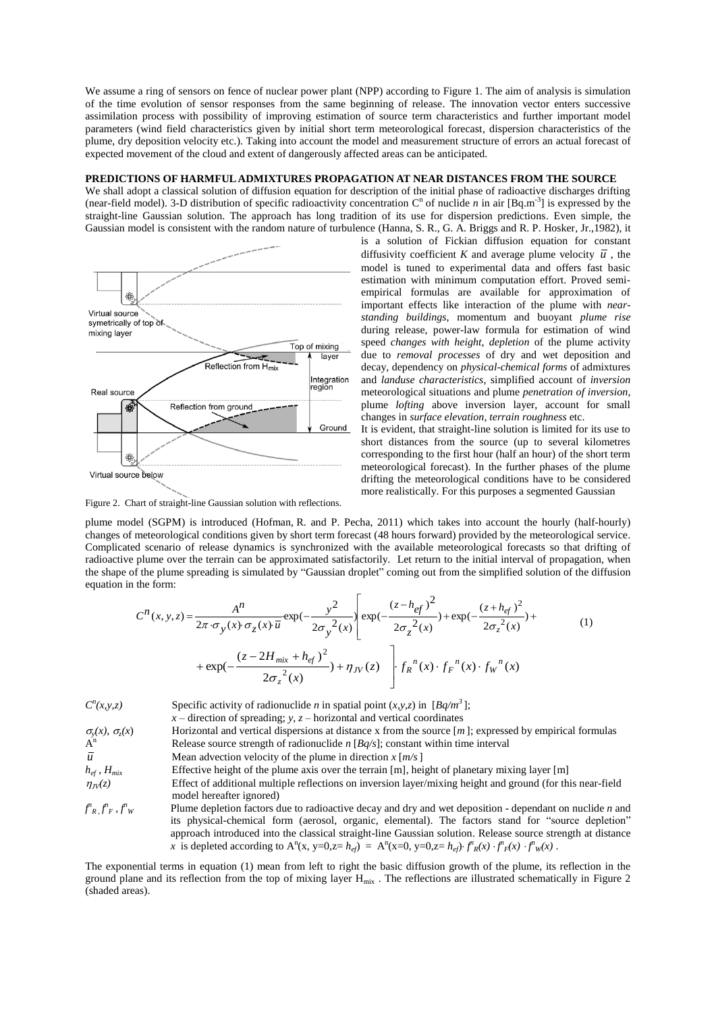We assume a ring of sensors on fence of nuclear power plant (NPP) according to Figure 1. The aim of analysis is simulation of the time evolution of sensor responses from the same beginning of release. The innovation vector enters successive assimilation process with possibility of improving estimation of source term characteristics and further important model parameters (wind field characteristics given by initial short term meteorological forecast, dispersion characteristics of the plume, dry deposition velocity etc.). Taking into account the model and measurement structure of errors an actual forecast of expected movement of the cloud and extent of dangerously affected areas can be anticipated.

# **PREDICTIONS OF HARMFUL ADMIXTURES PROPAGATION AT NEAR DISTANCES FROM THE SOURCE**

We shall adopt a classical solution of diffusion equation for description of the initial phase of radioactive discharges drifting (near-field model). 3-D distribution of specific radioactivity concentration  $C<sup>n</sup>$  of nuclide *n* in air [Bq.m<sup>-3</sup>] is expressed by the straight-line Gaussian solution. The approach has long tradition of its use for dispersion predictions. Even simple, the Gaussian model is consistent with the random nature of turbulence (Hanna, S. R., G. A. Briggs and R. P. Hosker, Jr.,1982), it



is a solution of Fickian diffusion equation for constant diffusivity coefficient K and average plume velocity  $\bar{u}$ , the model is tuned to experimental data and offers fast basic estimation with minimum computation effort. Proved semiempirical formulas are available for approximation of important effects like interaction of the plume with *nearstanding buildings*, momentum and buoyant *plume rise* during release, power-law formula for estimation of wind speed *changes with height*, *depletion* of the plume activity due to *removal processes* of dry and wet deposition and decay, dependency on *physical-chemical forms* of admixtures and *landuse characteristics*, simplified account of *inversion* meteorological situations and plume *penetration of inversion*, plume *lofting* above inversion layer, account for small changes in *surface elevation, terrain roughness* etc.

It is evident, that straight-line solution is limited for its use to short distances from the source (up to several kilometres corresponding to the first hour (half an hour) of the short term meteorological forecast). In the further phases of the plume drifting the meteorological conditions have to be considered more realistically. For this purposes a segmented Gaussian

Figure 2. Chart of straight-line Gaussian solution with reflections.

plume model (SGPM) is introduced (Hofman, R. and P. Pecha, 2011) which takes into account the hourly (half-hourly) changes of meteorological conditions given by short term forecast (48 hours forward) provided by the meteorological service. Complicated scenario of release dynamics is synchronized with the available meteorological forecasts so that drifting of radioactive plume over the terrain can be approximated satisfactorily. Let return to the initial interval of propagation, when the shape of the plume spreading is simulated by "Gaussian droplet" coming out from the simplified solution of the diffusion equation in the form:

$$
C^{n}(x, y, z) = \frac{A^{n}}{2\pi \cdot \sigma_{y}(x) \cdot \sigma_{z}(x) \cdot \overline{u}} \exp(-\frac{y^{2}}{2\sigma_{y}^{2}(x)} \left[ \exp(-\frac{(z - h_{ef})^{2}}{2\sigma_{z}^{2}(x)}) + \exp(-\frac{(z + h_{ef})^{2}}{2\sigma_{z}^{2}(x)}) + \exp(-\frac{(z - 2H_{mix} + h_{ef})^{2}}{2\sigma_{z}^{2}(x)}) + \eta_{JV}(z) \right] \cdot f_{R}^{n}(x) \cdot f_{F}^{n}(x) \cdot f_{W}^{n}(x)
$$
\n(1)

*C n* Specific activity of radionuclide *n* in spatial point  $(x, y, z)$  in  $[Bq/m^3]$ ;

 $x$  – direction of spreading;  $y$ ,  $z$  – horizontal and vertical coordinates  $\sigma_{\rm y}(x)$ ,  $\sigma_{\rm z}$ *Horizontal and vertical dispersions at distance x from the source*  $[m]$ *; expressed by empirical formulas*  $\overline{A}^n$ Release source strength of radionuclide  $n$  [ $Bq/s$ ]; constant within time interval *u* Mean advection velocity of the plume in direction  $x \lfloor m/s \rfloor$  $h_{ef}$ ,  $H_{mix}$  Effective height of the plume axis over the terrain [m], height of planetary mixing layer [m]  $\eta_{I}(\chi z)$  Effect of additional multiple reflections on inversion layer/mixing height and ground (for this near-field model hereafter ignored)  $f^n$ <sub>*R*</sub>,  $f^n$ <sub>*F*</sub>,  $f^n$ *<sup>W</sup>* Plume depletion factors due to radioactive decay and dry and wet deposition - dependant on nuclide *n* and its physical-chemical form (aerosol, organic, elemental). The factors stand for "source depletion"

approach introduced into the classical straight-line Gaussian solution. Release source strength at distance *x* is depleted according to  $A^n(x, y=0, z=h_{ef}) = A^n(x=0, y=0, z=h_{ef}) \cdot f^n_R(x) \cdot f^n_F(x) \cdot f^n_W(x)$ . The exponential terms in equation (1) mean from left to right the basic diffusion growth of the plume, its reflection in the ground plane and its reflection from the top of mixing layer  $H_{mix}$  . The reflections are illustrated schematically in Figure 2

(shaded areas).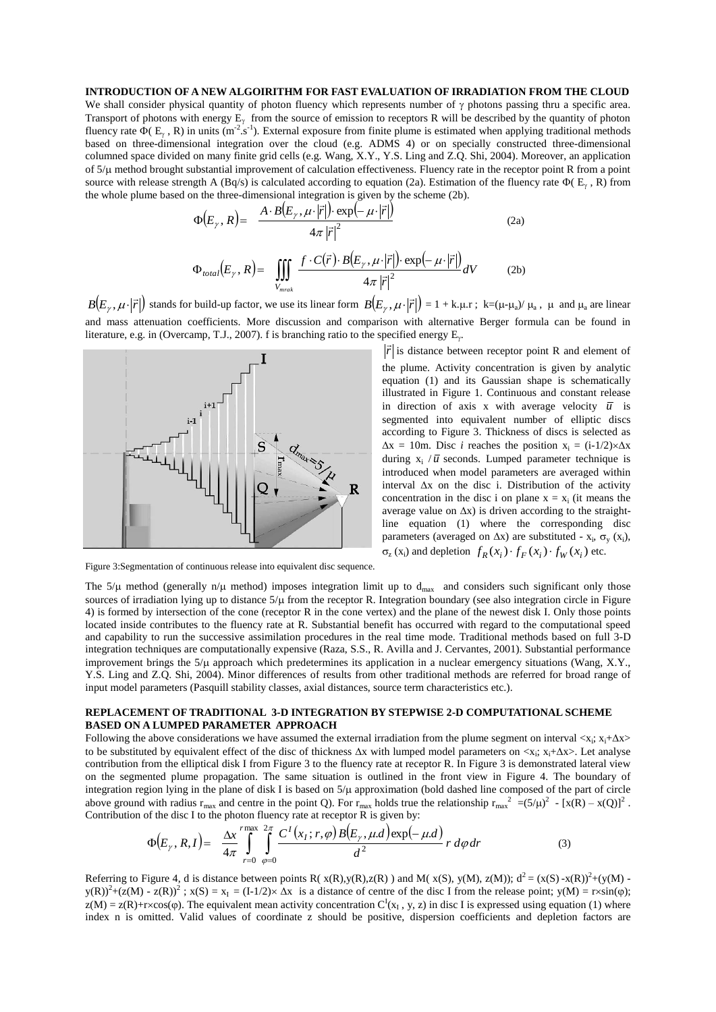## **INTRODUCTION OF A NEW ALGOIRITHM FOR FAST EVALUATION OF IRRADIATION FROM THE CLOUD**

We shall consider physical quantity of photon fluency which represents number of  $\gamma$  photons passing thru a specific area. Transport of photons with energy  $E_{\gamma}$  from the source of emission to receptors R will be described by the quantity of photon fluency rate  $\Phi(E_\gamma, R)$  in units (m<sup>-2</sup>.s<sup>-1</sup>). External exposure from finite plume is estimated when applying traditional methods based on three-dimensional integration over the cloud (e.g. ADMS 4) or on specially constructed three-dimensional columned space divided on many finite grid cells (e.g. Wang, X.Y., Y.S. Ling and Z.Q. Shi, 2004). Moreover, an application of  $5/\mu$  method brought substantial improvement of calculation effectiveness. Fluency rate in the receptor point R from a point source with release strength A (Bq/s) is calculated according to equation (2a). Estimation of the fluency rate  $\Phi(E_{\gamma}, R)$  from the whole plume based on the three-dimensional integration is given by the scheme (2b).

$$
\Phi(E_{\gamma}, R) = \frac{A \cdot B(E_{\gamma}, \mu \cdot |\vec{r}|) \cdot \exp(-\mu \cdot |\vec{r}|)}{4\pi |\vec{r}|^2}
$$
\n
$$
\Phi_{total}(E_{\gamma}, R) = \iiint_{V} \frac{f \cdot C(\vec{r}) \cdot B(E_{\gamma}, \mu \cdot |\vec{r}|) \cdot \exp(-\mu \cdot |\vec{r}|)}{4\pi |\vec{r}|^2} dV
$$
\n(2b)

 $B(E_\gamma, \mu \cdot |\vec{r}|)$  stands for build-up factor, we use its linear form  $B(E_\gamma, \mu \cdot |\vec{r}|) = 1 + k \cdot \mu$ .r;  $k = (\mu \cdot \mu_a)/\mu_a$ ,  $\mu$  and  $\mu_a$  are linear and mass attenuation coefficients. More discussion and comparison with alternative Berger formula can be found in literature, e.g. in (Overcamp, T.J., 2007). f is branching ratio to the specified energy  $E_{\gamma}$ .

*Vmrak*



Figure 3:Segmentation of continuous release into equivalent disc sequence.

 $\vec{r}$  is distance between receptor point R and element of the plume. Activity concentration is given by analytic equation (1) and its Gaussian shape is schematically illustrated in Figure 1. Continuous and constant release in direction of axis x with average velocity  $\overline{u}$  is segmented into equivalent number of elliptic discs according to Figure 3. Thickness of discs is selected as  $\Delta x = 10$ m. Disc *i* reaches the position  $x_i = (i-1/2) \times \Delta x$ during  $x_i / \overline{u}$  seconds. Lumped parameter technique is introduced when model parameters are averaged within interval  $\Delta x$  on the disc i. Distribution of the activity concentration in the disc i on plane  $x = x_i$  (it means the average value on  $\Delta x$ ) is driven according to the straightline equation (1) where the corresponding disc parameters (averaged on  $\Delta x$ ) are substituted -  $x_i$ ,  $\sigma_y$  ( $x_i$ ),  $\sigma_z$  (x<sub>i</sub>) and depletion  $f_R(x_i) \cdot f_F(x_i) \cdot f_W(x_i)$  etc.

The 5/ $\mu$  method (generally n/ $\mu$  method) imposes integration limit up to d<sub>max</sub> and considers such significant only those sources of irradiation lying up to distance  $5/\mu$  from the receptor R. Integration boundary (see also integration circle in Figure 4) is formed by intersection of the cone (receptor R in the cone vertex) and the plane of the newest disk I. Only those points located inside contributes to the fluency rate at R. Substantial benefit has occurred with regard to the computational speed and capability to run the successive assimilation procedures in the real time mode. Traditional methods based on full 3-D integration techniques are computationally expensive (Raza, S.S., R. Avilla and J. Cervantes, 2001). Substantial performance improvement brings the  $5/\mu$  approach which predetermines its application in a nuclear emergency situations (Wang, X.Y., Y.S. Ling and Z.Q. Shi, 2004). Minor differences of results from other traditional methods are referred for broad range of input model parameters (Pasquill stability classes, axial distances, source term characteristics etc.).

# **REPLACEMENT OF TRADITIONAL 3-D INTEGRATION BY STEPWISE 2-D COMPUTATIONAL SCHEME BASED ON A LUMPED PARAMETER APPROACH**

Following the above considerations we have assumed the external irradiation from the plume segment on interval  $\langle x_i; x_i + \Delta x \rangle$ to be substituted by equivalent effect of the disc of thickness  $\Delta x$  with lumped model parameters on  $\langle x_i; x_i+\Delta x \rangle$ . Let analyse contribution from the elliptical disk I from Figure 3 to the fluency rate at receptor R. In Figure 3 is demonstrated lateral view on the segmented plume propagation. The same situation is outlined in the front view in Figure 4. The boundary of integration region lying in the plane of disk I is based on  $5/\mu$  approximation (bold dashed line composed of the part of circle above ground with radius  $r_{max}$  and centre in the point Q). For  $r_{max}$  holds true the relationship  $r_{max}^2 = (5/\mu)^2 - [x(R) - x(Q)]^2$ . Contribution of the disc I to the photon fluency rate at receptor R is given by:

$$
\Phi(E_{\gamma}, R, I) = \frac{\Delta x}{4\pi} \int_{r=0}^{r \max} \int_{\varphi=0}^{2\pi} \frac{C^{I}(x_{I}; r, \varphi) B(E_{\gamma}, \mu, d) \exp(-\mu, d)}{d^{2}} r \, d\varphi dr \tag{3}
$$

Referring to Figure 4, d is distance between points R( $x(R), y(R), z(R)$ ) and M( $x(S), y(M), z(M)$ );  $d^2 = (x(S) - x(R))^2 + (y(M) - y(R))^2$  $y(R)^{2}+(z(M) - z(R))^{2}$ ;  $x(S) = x_{I} = (I-1/2) \times \Delta x$  is a distance of centre of the disc I from the release point;  $y(M) = r \times \sin(\varphi)$ ;  $z(M) = z(R) + r \times \cos(\varphi)$ . The equivalent mean activity concentration  $C^I(x_I, y, z)$  in disc I is expressed using equation (1) where index n is omitted. Valid values of coordinate z should be positive, dispersion coefficients and depletion factors are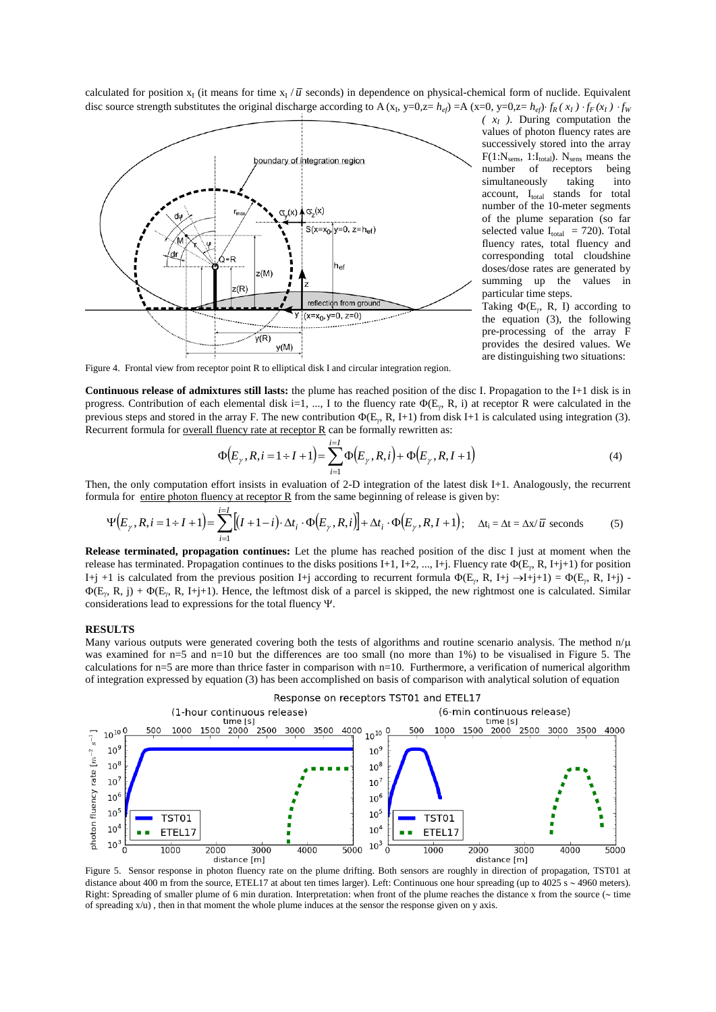calculated for position  $x_1$  (it means for time  $x_1/\overline{u}$  seconds) in dependence on physical-chemical form of nuclide. Equivalent disc source strength substitutes the original discharge according to A (x<sub>1</sub>, y=0,z=  $h_{ef}$ ) =A (x=0, y=0,z=  $h_{ef}$ )  $\cdot f_R(x_I) \cdot f_F(x_I) \cdot f_W(x_I)$ 



*( x<sup>I</sup> )*. During computation the values of photon fluency rates are successively stored into the array  $F(1:N<sub>sens</sub>, 1:I<sub>total</sub>)$ .  $N<sub>sens</sub>$  means the number of receptors being receptors simultaneously taking into account, Itotal stands for total number of the 10-meter segments of the plume separation (so far selected value  $I_{total}$  = 720). Total fluency rates, total fluency and corresponding total cloudshine doses/dose rates are generated by summing up the values in particular time steps.

Taking  $\Phi(E_{\gamma}, R, I)$  according to the equation (3), the following pre-processing of the array F provides the desired values. We are distinguishing two situations:

Figure 4. Frontal view from receptor point R to elliptical disk I and circular integration region.

**Continuous release of admixtures still lasts:** the plume has reached position of the disc I. Propagation to the I+1 disk is in progress. Contribution of each elemental disk i=1, ..., I to the fluency rate  $\Phi(E_y, R, i)$  at receptor R were calculated in the previous steps and stored in the array F. The new contribution  $\Phi(E_y, R, I+1)$  from disk I+1 is calculated using integration (3). Recurrent formula for <u>overall fluency rate at receptor R</u> can be formally rewritten as:

$$
\Phi(E_{\gamma}, R, i = 1 + I + 1) = \sum_{i=1}^{i=I} \Phi(E_{\gamma}, R, i) + \Phi(E_{\gamma}, R, I + 1)
$$
\n(4)

Then, the only computation effort insists in evaluation of 2-D integration of the latest disk I+1. Analogously, the recurrent formula for entire photon fluency at receptor R from the same beginning of release is given by:

$$
\Psi(E_{\gamma}, R, i = 1 + I + 1) = \sum_{i=1}^{i=1} [(I + 1 - i) \cdot \Delta t_i \cdot \Phi(E_{\gamma}, R, i)] + \Delta t_i \cdot \Phi(E_{\gamma}, R, I + 1); \quad \Delta t_i = \Delta t = \Delta x / \overline{u} \text{ seconds}
$$
 (5)

**Release terminated, propagation continues:** Let the plume has reached position of the disc I just at moment when the release has terminated. Propagation continues to the disks positions I+1, I+2, ..., I+j. Fluency rate  $\Phi(E_{\gamma}, R, I+j+1)$  for position I+j +1 is calculated from the previous position I+j according to recurrent formula  $\Phi(E_{\gamma}, R, I+j \rightarrow I+j+1) = \Phi(E_{\gamma}, R, I+j)$ .  $\Phi(E_r, R, j) + \Phi(E_r, R, I+j+1)$ . Hence, the leftmost disk of a parcel is skipped, the new rightmost one is calculated. Similar considerations lead to expressions for the total fluency  $\Psi$ .

#### **RESULTS**

Many various outputs were generated covering both the tests of algorithms and routine scenario analysis. The method  $n/\mu$ was examined for n=5 and n=10 but the differences are too small (no more than 1%) to be visualised in Figure 5. The calculations for n=5 are more than thrice faster in comparison with n=10. Furthermore, a verification of numerical algorithm of integration expressed by equation (3) has been accomplished on basis of comparison with analytical solution of equation



Figure 5. Sensor response in photon fluency rate on the plume drifting. Both sensors are roughly in direction of propagation, TST01 at distance about 400 m from the source, ETEL17 at about ten times larger). Left: Continuous one hour spreading (up to 4025 s ~ 4960 meters). Right: Spreading of smaller plume of 6 min duration. Interpretation: when front of the plume reaches the distance x from the source ( $\sim$  time of spreading x/u) , then in that moment the whole plume induces at the sensor the response given on y axis.